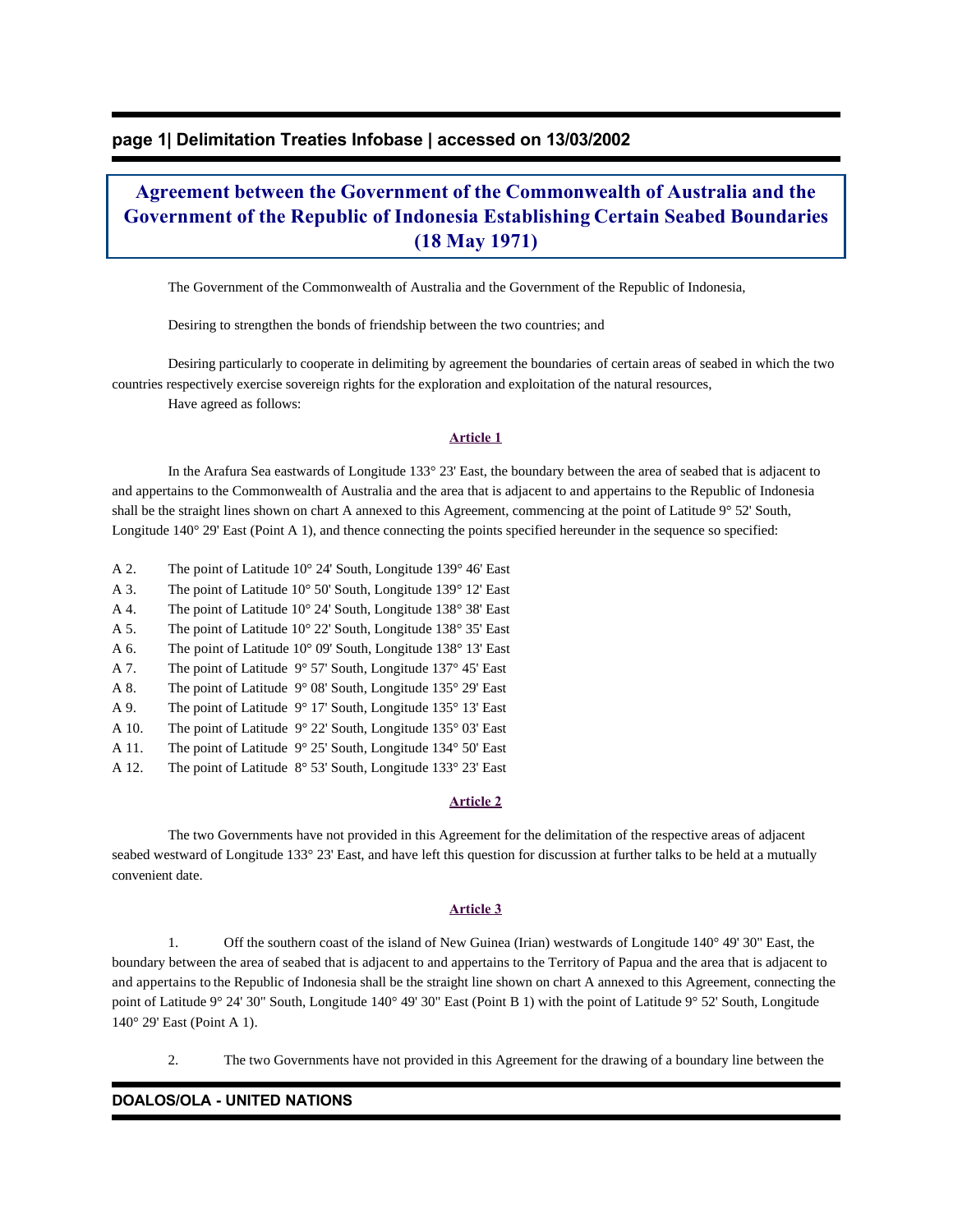## **page 1| Delimitation Treaties Infobase | accessed on 13/03/2002**

# **Agreement between the Government of the Commonwealth of Australia and the Government of the Republic of Indonesia Establishing Certain Seabed Boundaries (18 May 1971)**

The Government of the Commonwealth of Australia and the Government of the Republic of Indonesia,

Desiring to strengthen the bonds of friendship between the two countries; and

 Desiring particularly to cooperate in delimiting by agreement the boundaries of certain areas of seabed in which the two countries respectively exercise sovereign rights for the exploration and exploitation of the natural resources, Have agreed as follows:

#### **Article 1**

 In the Arafura Sea eastwards of Longitude 133° 23' East, the boundary between the area of seabed that is adjacent to and appertains to the Commonwealth of Australia and the area that is adjacent to and appertains to the Republic of Indonesia shall be the straight lines shown on chart A annexed to this Agreement, commencing at the point of Latitude 9° 52' South, Longitude 140° 29' East (Point A 1), and thence connecting the points specified hereunder in the sequence so specified:

- A 2. The point of Latitude 10° 24' South, Longitude 139° 46' East
- A 3. The point of Latitude 10° 50' South, Longitude 139° 12' East
- A 4. The point of Latitude 10° 24' South, Longitude 138° 38' East
- A 5. The point of Latitude 10° 22' South, Longitude 138° 35' East
- A 6. The point of Latitude 10° 09' South, Longitude 138° 13' East
- A 7. The point of Latitude 9° 57' South, Longitude 137° 45' East
- A 8. The point of Latitude 9° 08' South, Longitude 135° 29' East
- A 9. The point of Latitude 9° 17' South, Longitude 135° 13' East
- A 10. The point of Latitude 9° 22' South, Longitude 135° 03' East
- A 11. The point of Latitude 9° 25' South, Longitude 134° 50' East
- A 12. The point of Latitude 8° 53' South, Longitude 133° 23' East

#### **Article 2**

 The two Governments have not provided in this Agreement for the delimitation of the respective areas of adjacent seabed westward of Longitude 133° 23' East, and have left this question for discussion at further talks to be held at a mutually convenient date.

#### **Article 3**

 1. Off the southern coast of the island of New Guinea (Irian) westwards of Longitude 140° 49' 30" East, the boundary between the area of seabed that is adjacent to and appertains to the Territory of Papua and the area that is adjacent to and appertains to the Republic of Indonesia shall be the straight line shown on chart A annexed to this Agreement, connecting the point of Latitude 9° 24' 30" South, Longitude 140° 49' 30" East (Point B 1) with the point of Latitude 9° 52' South, Longitude 140° 29' East (Point A 1).

2. The two Governments have not provided in this Agreement for the drawing of a boundary line between the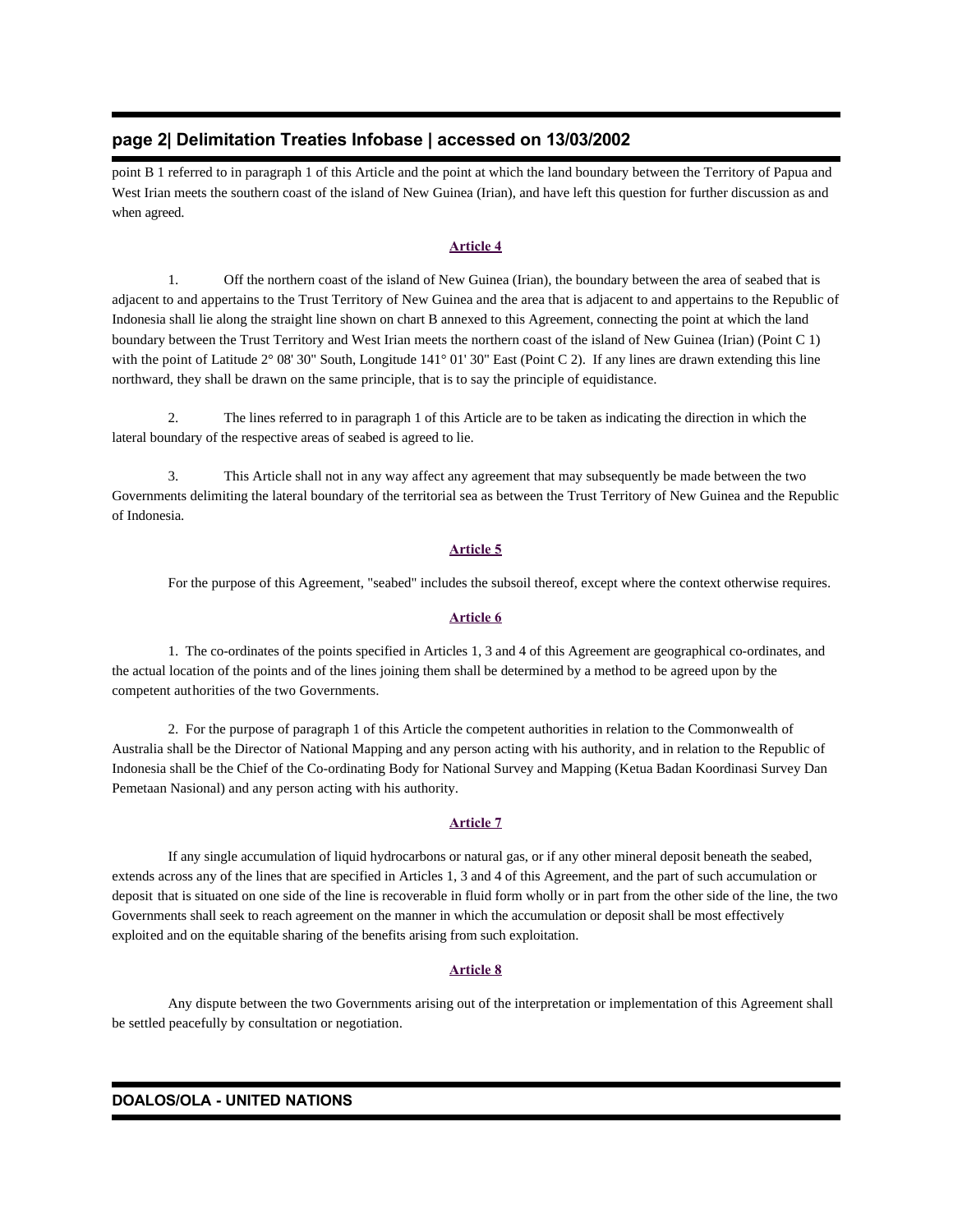## **page 2| Delimitation Treaties Infobase | accessed on 13/03/2002**

point B 1 referred to in paragraph 1 of this Article and the point at which the land boundary between the Territory of Papua and West Irian meets the southern coast of the island of New Guinea (Irian), and have left this question for further discussion as and when agreed.

#### **Article 4**

 1. Off the northern coast of the island of New Guinea (Irian), the boundary between the area of seabed that is adjacent to and appertains to the Trust Territory of New Guinea and the area that is adjacent to and appertains to the Republic of Indonesia shall lie along the straight line shown on chart B annexed to this Agreement, connecting the point at which the land boundary between the Trust Territory and West Irian meets the northern coast of the island of New Guinea (Irian) (Point C 1) with the point of Latitude 2° 08' 30" South, Longitude 141° 01' 30" East (Point C 2). If any lines are drawn extending this line northward, they shall be drawn on the same principle, that is to say the principle of equidistance.

 2. The lines referred to in paragraph 1 of this Article are to be taken as indicating the direction in which the lateral boundary of the respective areas of seabed is agreed to lie.

 3. This Article shall not in any way affect any agreement that may subsequently be made between the two Governments delimiting the lateral boundary of the territorial sea as between the Trust Territory of New Guinea and the Republic of Indonesia.

#### **Article 5**

For the purpose of this Agreement, "seabed" includes the subsoil thereof, except where the context otherwise requires.

#### **Article 6**

 1. The co-ordinates of the points specified in Articles 1, 3 and 4 of this Agreement are geographical co-ordinates, and the actual location of the points and of the lines joining them shall be determined by a method to be agreed upon by the competent authorities of the two Governments.

 2. For the purpose of paragraph 1 of this Article the competent authorities in relation to the Commonwealth of Australia shall be the Director of National Mapping and any person acting with his authority, and in relation to the Republic of Indonesia shall be the Chief of the Co-ordinating Body for National Survey and Mapping (Ketua Badan Koordinasi Survey Dan Pemetaan Nasional) and any person acting with his authority.

#### **Article 7**

 If any single accumulation of liquid hydrocarbons or natural gas, or if any other mineral deposit beneath the seabed, extends across any of the lines that are specified in Articles 1, 3 and 4 of this Agreement, and the part of such accumulation or deposit that is situated on one side of the line is recoverable in fluid form wholly or in part from the other side of the line, the two Governments shall seek to reach agreement on the manner in which the accumulation or deposit shall be most effectively exploited and on the equitable sharing of the benefits arising from such exploitation.

#### **Article 8**

 Any dispute between the two Governments arising out of the interpretation or implementation of this Agreement shall be settled peacefully by consultation or negotiation.

#### **DOALOS/OLA - UNITED NATIONS**